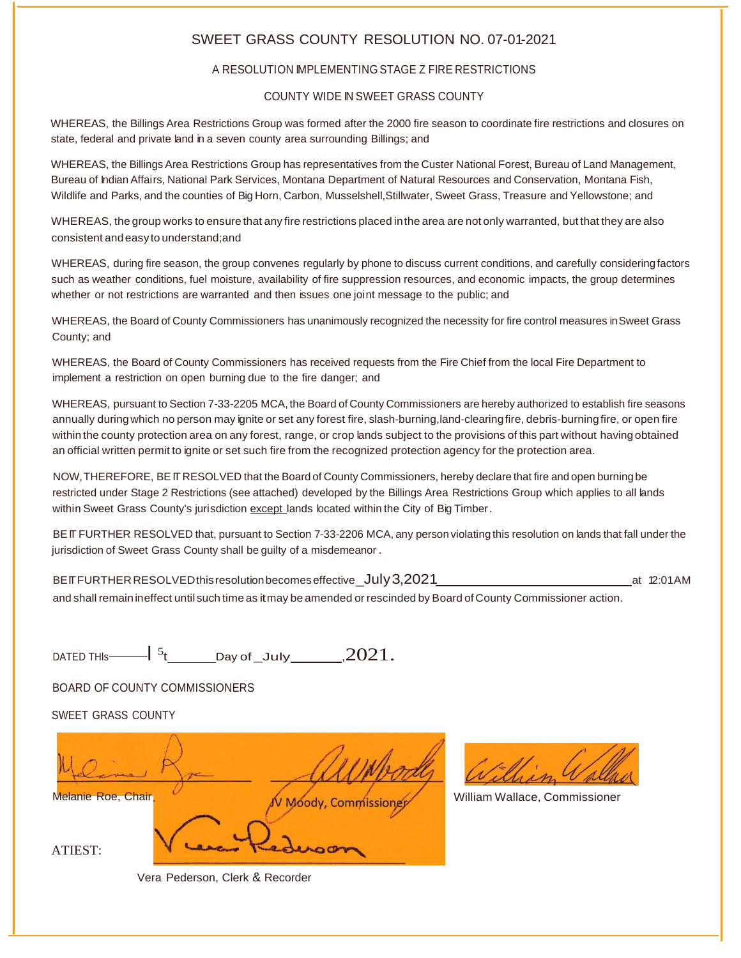#### SWEET GRASS COUNTY RESOLUTION NO. 07-01-2021

#### A RESOLUTION IMPLEMENTING STAGE Z FIRE RESTRICTIONS

#### COUNTY WIDE IN SWEET GRASS COUNTY

WHEREAS, the Billings Area Restrictions Group was formed after the 2000 fire season to coordinate fire restrictions and closures on state, federal and private land in a seven county area surrounding Billings; and

WHEREAS, the Billings Area Restrictions Group has representatives from the Custer National Forest, Bureau of Land Management, Bureau of Indian Affairs, National Park Services, Montana Department of Natural Resources and Conservation, Montana Fish, Wildlife and Parks, and the counties of Big Horn, Carbon, Musselshell,Stillwater, Sweet Grass, Treasure and Yellowstone; and

WHEREAS, the group works to ensure that any fire restrictions placed inthe area are not only warranted, but that they are also consistent andeasy to understand;and

WHEREAS, during fire season, the group convenes regularly by phone to discuss current conditions, and carefully consideringfactors such as weather conditions, fuel moisture, availability of fire suppression resources, and economic impacts, the group determines whether or not restrictions are warranted and then issues one joint message to the public; and

WHEREAS, the Board of County Commissioners has unanimously recognized the necessity for fire control measures inSweet Grass County; and

WHEREAS, the Board of County Commissioners has received requests from the Fire Chief from the local Fire Department to implement a restriction on open burning due to the fire danger; and

WHEREAS, pursuant to Section 7-33-2205 MCA, the Board of County Commissioners are hereby authorized to establish fire seasons annually duringwhich no person may ignite or set any forest fire, slash-burning,land-clearingfire, debris-burningfire, or open fire within the county protection area on any forest, range, or crop lands subject to the provisions of this part without having obtained an official written permit to ignite or set such fire from the recognized protection agency for the protection area.

NOW,THEREFORE, BEIT RESOLVED that the Board of County Commissioners, hereby declare that fire and open burningbe restricted under Stage 2 Restrictions (see attached) developed by the Billings Area Restrictions Group which applies to all lands within Sweet Grass County's jurisdiction except lands located within the City of Big Timber.

BEIT FURTHER RESOLVED that, pursuant to Section 7-33-2206 MCA, any person violating this resolution on lands that fall under the jurisdiction of Sweet Grass County shall be quilty of a misdemeanor.

BEITFURTHER RESOLVED this resolution becomes effective\_July 3,2021 **at 12:01 AM** at 12:01 AM and shall remainineffect until such time as itmay be amended or rescinded by Board of County Commissioner action.

DATED THIs  $\begin{bmatrix} 5 \end{bmatrix}$   $\begin{bmatrix} 5 \end{bmatrix}$   $\begin{bmatrix} 2021 \end{bmatrix}$ 

BOARD OF COUNTY COMMISSIONERS

SWEET GRASS COUNTY

Melanie Roe, Chair William Wallace, Commissioner William Wallace, Commissioner ATIEST:

Vera Pederson, Clerk & Recorder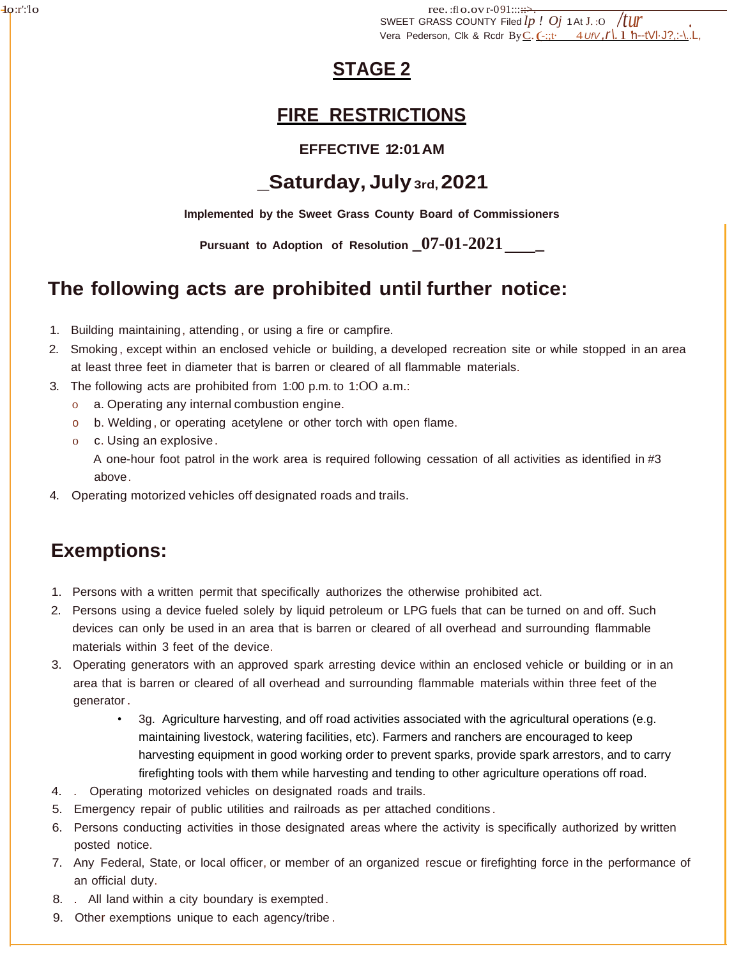SWEET GRASS COUNTY Filed  $lp$  *!*  $Oj$  1 At J. : O  $/$  */tur* . -1o:r':'lo ree. :fl o.ov r-091:::::⇒ Vera Pederson, Clk & Rcdr ByC.(-:;t· <sup>4</sup>*UfV ,r\.* l 'h--tVl·J?,:-\..L,

## **STAGE 2**

## **FIRE RESTRICTIONS**

#### **EFFECTIVE 12:01AM**

## **\_Saturday, July3rd,2021**

**Implemented by the Sweet Grass County Board of Commissioners**

**Pursuant to Adoption of Resolution \_07-01-2021 \_**

## **The following acts are prohibited until further notice:**

- 1. Building maintaining, attending , or using a fire or campfire.
- 2. Smoking , except within an enclosed vehicle or building, a developed recreation site or while stopped in an area at least three feet in diameter that is barren or cleared of all flammable materials.
- 3. The following acts are prohibited from 1:00 p.m. to 1:OO a.m.:
	- o a. Operating any internal combustion engine.
	- o b. Welding , or operating acetylene or other torch with open flame.
	- o c. Using an explosive.

A one-hour foot patrol in the work area is required following cessation of all activities as identified in #3 above.

4. Operating motorized vehicles off designated roads and trails.

## **Exemptions:**

- 1. Persons with a written permit that specifically authorizes the otherwise prohibited act.
- 2. Persons using a device fueled solely by liquid petroleum or LPG fuels that can be turned on and off. Such devices can only be used in an area that is barren or cleared of all overhead and surrounding flammable materials within 3 feet of the device.
- 3. Operating generators with an approved spark arresting device within an enclosed vehicle or building or in an area that is barren or cleared of all overhead and surrounding flammable materials within three feet of the generator .
	- 3g. Agriculture harvesting, and off road activities associated with the agricultural operations (e.g. maintaining livestock, watering facilities, etc). Farmers and ranchers are encouraged to keep harvesting equipment in good working order to prevent sparks, provide spark arrestors, and to carry firefighting tools with them while harvesting and tending to other agriculture operations off road.
- 4. . Operating motorized vehicles on designated roads and trails.
- 5. Emergency repair of public utilities and railroads as per attached conditions .
- 6. Persons conducting activities in those designated areas where the activity is specifically authorized by written posted notice.
- 7. Any Federal, State, or local officer, or member of an organized rescue or firefighting force in the performance of an official duty.
- 8. . All land within a city boundary is exempted.
- 9. Other exemptions unique to each agency/tribe .